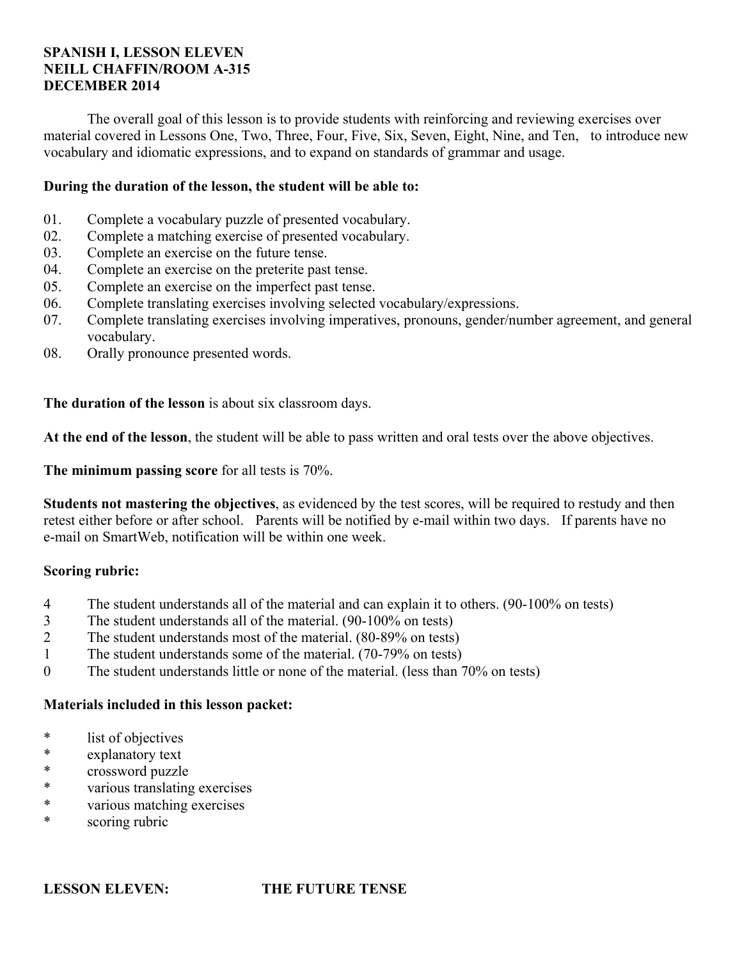### **SPANISH I, LESSON ELEVEN NEILL CHAFFIN/ROOM A-315 DECEMBER 2014**

 The overall goal of this lesson is to provide students with reinforcing and reviewing exercises over material covered in Lessons One, Two, Three, Four, Five, Six, Seven, Eight, Nine, and Ten, to introduce new vocabulary and idiomatic expressions, and to expand on standards of grammar and usage.

### **During the duration of the lesson, the student will be able to:**

- 01. Complete a vocabulary puzzle of presented vocabulary.
- 02. Complete a matching exercise of presented vocabulary.
- 03. Complete an exercise on the future tense.
- 04. Complete an exercise on the preterite past tense.
- 05. Complete an exercise on the imperfect past tense.
- 06. Complete translating exercises involving selected vocabulary/expressions.
- 07. Complete translating exercises involving imperatives, pronouns, gender/number agreement, and general vocabulary.
- 08. Orally pronounce presented words.

**The duration of the lesson** is about six classroom days.

**At the end of the lesson**, the student will be able to pass written and oral tests over the above objectives.

**The minimum passing score** for all tests is 70%.

**Students not mastering the objectives**, as evidenced by the test scores, will be required to restudy and then retest either before or after school. Parents will be notified by e-mail within two days. If parents have no e-mail on SmartWeb, notification will be within one week.

### **Scoring rubric:**

- 4 The student understands all of the material and can explain it to others. (90-100% on tests)
- 3 The student understands all of the material. (90-100% on tests)
- 2 The student understands most of the material. (80-89% on tests)
- 1 The student understands some of the material. (70-79% on tests)
- 0 The student understands little or none of the material. (less than 70% on tests)

### **Materials included in this lesson packet:**

- \* list of objectives
- explanatory text
- \* crossword puzzle
- \* various translating exercises
- \* various matching exercises
- \* scoring rubric

### **LESSON ELEVEN: THE FUTURE TENSE**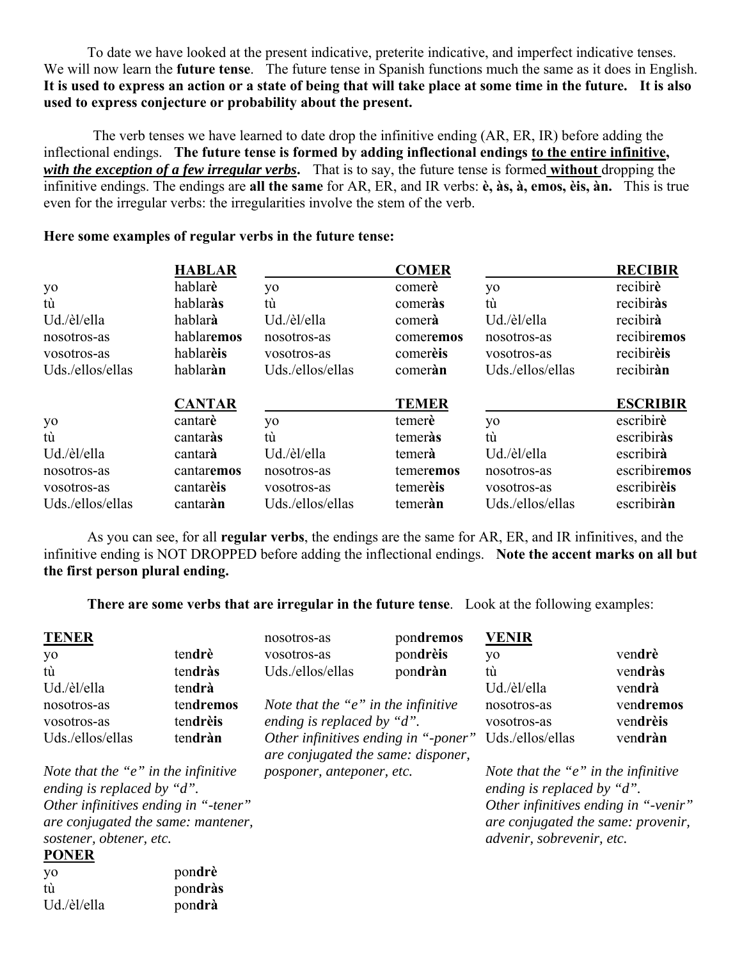To date we have looked at the present indicative, preterite indicative, and imperfect indicative tenses. We will now learn the **future tense**. The future tense in Spanish functions much the same as it does in English. **It is used to express an action or a state of being that will take place at some time in the future. It is also used to express conjecture or probability about the present.**

 The verb tenses we have learned to date drop the infinitive ending (AR, ER, IR) before adding the inflectional endings. **The future tense is formed by adding inflectional endings to the entire infinitive,**  *with the exception of a few irregular verbs***.** That is to say, the future tense is formed **without** dropping the infinitive endings. The endings are **all the same** for AR, ER, and IR verbs: **è, às, à, emos, èis, àn.** This is true even for the irregular verbs: the irregularities involve the stem of the verb.

### **Here some examples of regular verbs in the future tense:**

|                  | <b>HABLAR</b> |                  | <b>COMER</b> |                  | <b>RECIBIR</b>  |
|------------------|---------------|------------------|--------------|------------------|-----------------|
| yo               | hablarè       | yo               | comerè       | yo               | recibirè        |
| tù               | hablaràs      | tù               | comeras      | tù               | recibiràs       |
| Ud./èl/ella      | hablarà       | Ud./èl/ella      | comerà       | Ud./èl/ella      | recibirà        |
| nosotros-as      | hablaremos    | nosotros-as      | comeremos    | nosotros-as      | recibiremos     |
| vosotros-as      | hablarèis     | vosotros-as      | comereis     | vosotros-as      | recibireis      |
| Uds./ellos/ellas | hablaràn      | Uds./ellos/ellas | comeran      | Uds./ellos/ellas | recibiràn       |
|                  | <b>CANTAR</b> |                  | <b>TEMER</b> |                  | <b>ESCRIBIR</b> |
| yo               | cantarè       | yo               | temerè       | yo               | escribirè       |
| tù               | cantaràs      | tù               | temeras      | tù               | escribiràs      |
| Ud./èl/ella      | cantarà       | Ud./èl/ella      | temerà       | Ud./èl/ella      | escribirà       |
| nosotros-as      | cantaremos    | nosotros-as      | temeremos    | nosotros-as      | escribiremos    |
| vosotros-as      | cantarèis     | vosotros-as      | temereis     | vosotros-as      | escribireis     |
| Uds./ellos/ellas | cantaràn      | Uds./ellos/ellas | temeràn      | Uds./ellos/ellas | escribiràn      |

 As you can see, for all **regular verbs**, the endings are the same for AR, ER, and IR infinitives, and the infinitive ending is NOT DROPPED before adding the inflectional endings. **Note the accent marks on all but the first person plural ending.**

**There are some verbs that are irregular in the future tense**. Look at the following examples:

| <b>TENER</b>                                                                                          |           | nosotros-as                                                                | pondremos | <b>VENIR</b>                                                                                            |           |
|-------------------------------------------------------------------------------------------------------|-----------|----------------------------------------------------------------------------|-----------|---------------------------------------------------------------------------------------------------------|-----------|
| yo                                                                                                    | tendrè    | vosotros-as                                                                | pondrèis  | yo                                                                                                      | vendrè    |
| tù                                                                                                    | tendràs   | Uds./ellos/ellas                                                           | pondràn   | tù                                                                                                      | vendràs   |
| Ud./èl/ella                                                                                           | tendrà    |                                                                            |           | Ud./èl/ella                                                                                             | vendrà    |
| nosotros-as                                                                                           | tendremos | Note that the "e" in the infinitive                                        |           | nosotros-as                                                                                             | vendremos |
| vosotros-as                                                                                           | tendrèis  | ending is replaced by "d".                                                 |           | vosotros-as                                                                                             | vendrèis  |
| Uds./ellos/ellas                                                                                      | tendràn   | Other infinitives ending in "-poner"<br>are conjugated the same: disponer, |           | Uds./ellos/ellas                                                                                        | vendràn   |
| Note that the " $e$ " in the infinitive<br>ending is replaced by "d".                                 |           | posponer, anteponer, etc.                                                  |           | Note that the " $e$ " in the infinitive<br>ending is replaced by "d".                                   |           |
| Other infinitives ending in "-tener"<br>are conjugated the same: mantener,<br>sostener, obtener, etc. |           |                                                                            |           | Other infinitives ending in "-venir"<br>are conjugated the same: provenir,<br>advenir, sobrevenir, etc. |           |
| <b>PONER</b>                                                                                          |           |                                                                            |           |                                                                                                         |           |
| yo                                                                                                    | pondrè    |                                                                            |           |                                                                                                         |           |
| tù                                                                                                    | pondràs   |                                                                            |           |                                                                                                         |           |
| Ud./èl/ella                                                                                           | pondrà    |                                                                            |           |                                                                                                         |           |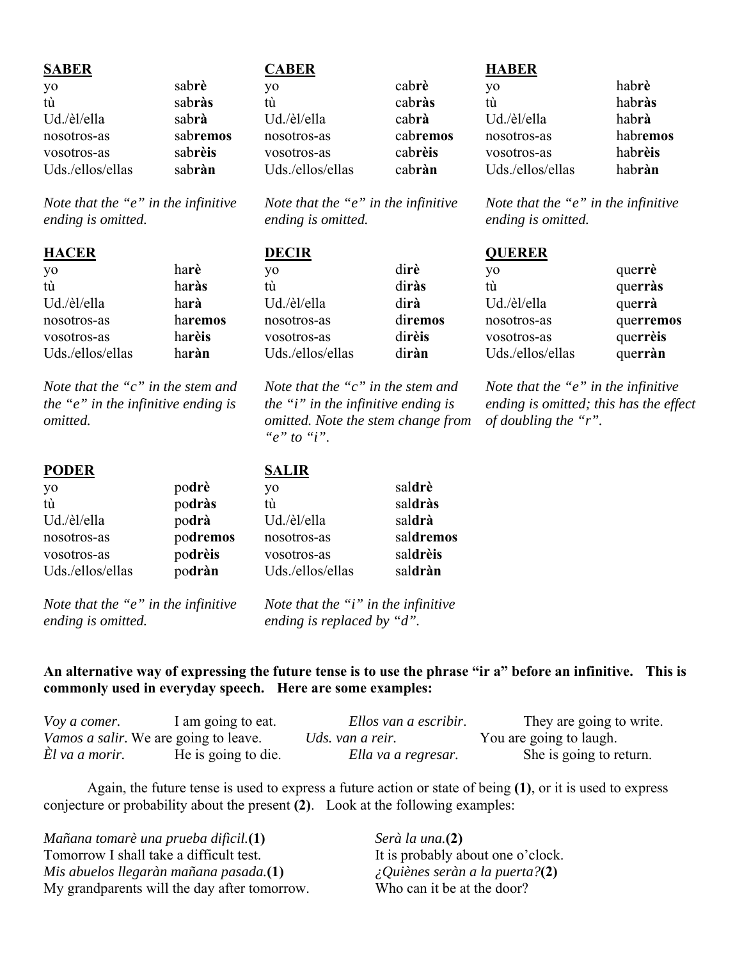| <b>SABER</b>     |          | <b>CABER</b>     |          | <b>HABER</b>     |          |
|------------------|----------|------------------|----------|------------------|----------|
| yo               | sabrè    | yо               | cabrè    | V <sub>0</sub>   | habrè    |
| tù               | sabràs   | tù               | cabràs   | tú               | habràs   |
| Ud./èl/ella      | sabrà    | Ud./èl/ella      | cabrà    | Ud./èl/ella      | habrà    |
| nosotros-as      | sabremos | nosotros-as      | cabremos | nosotros-as      | habremos |
| vosotros-as      | sabrèis  | vosotros-as      | cabrèis  | vosotros-as      | habrèis  |
| Uds./ellos/ellas | sabràn   | Uds./ellos/ellas | cabràn   | Uds./ellos/ellas | habràn   |

*Note that the "e" in the infinitive ending is omitted.* 

*Note that the "e" in the infinitive* 

yo di**rè** tù di**ràs** di**rà** di**remos** 

| <b>HACER</b> |         | <b>DECIR</b> |        |  |
|--------------|---------|--------------|--------|--|
| yo           | harè    | vo           | dirè   |  |
| tù           | haràs   | tù           | diràs  |  |
| Ud./èl/ella  | harà    | Ud./èl/ella  | dirà   |  |
| nosotros-as  | haremos | nosotros-as  | direm  |  |
| vosotros-as  | harèis  | vosotros-as  | dirèis |  |

*Note that the "c" in the stem and the "e" in the infinitive ending is omitted.*

vosotros-as ha**rèis** Uds./ellos/ellas ha**ràn**

| <b>PODER</b>     |          | <b>SALIR</b>     |           |
|------------------|----------|------------------|-----------|
| yo               | podrè    | yo               | saldrè    |
| tù               | podràs   | tù               | saldràs   |
| Ud./èl/ella      | podrà    | Ud./èl/ella      | saldrà    |
| nosotros-as      | podremos | nosotros-as      | saldremos |
| vosotros-as      | podrèis  | vosotros-as      | saldrèis  |
| Uds./ellos/ellas | podràn   | Uds./ellos/ellas | saldràn   |
|                  |          |                  |           |

*Note that the "e" in the infinitive ending is omitted.*

*Note that the "i" in the infinitive ending is replaced by "d".*

### **An alternative way of expressing the future tense is to use the phrase "ir a" before an infinitive. This is commonly used in everyday speech. Here are some examples:**

| Voy a comer.   | I am going to eat.                    | Ellos van a escribir. | They are going to write. |
|----------------|---------------------------------------|-----------------------|--------------------------|
|                | Vamos a salir. We are going to leave. | Uds. van a reir.      | You are going to laugh.  |
| El va a morir. | He is going to die.                   | Ella va a regresar.   | She is going to return.  |

 Again, the future tense is used to express a future action or state of being **(1)**, or it is used to express conjecture or probability about the present **(2)**. Look at the following examples:

| Mañana tomarè una prueba dificil.(1)         | Serà la una.(2)                   |
|----------------------------------------------|-----------------------------------|
| Tomorrow I shall take a difficult test.      | It is probably about one o'clock. |
| Mis abuelos llegaràn mañana pasada.(1)       | i Quiènes seràn a la puerta?(2)   |
| My grandparents will the day after tomorrow. | Who can it be at the door?        |

*ending is omitted.*

Uds./ellos/ellas di**ràn**

*Note that the "c" in the stem and the "i" in the infinitive ending is omitted. Note the stem change from* 

*"e" to "i"*.

# **QUERER**

*ending is omitted.*

| yo               | querrè    |
|------------------|-----------|
| tù               | querràs   |
| Ud./èl/ella      | querrà    |
| nosotros-as      | querremos |
| vosotros-as      | querrèis  |
| Uds./ellos/ellas | querràn   |

*Note that the "e" in the infinitive* 

*Note that the "e" in the infinitive ending is omitted; this has the effect of doubling the "r".*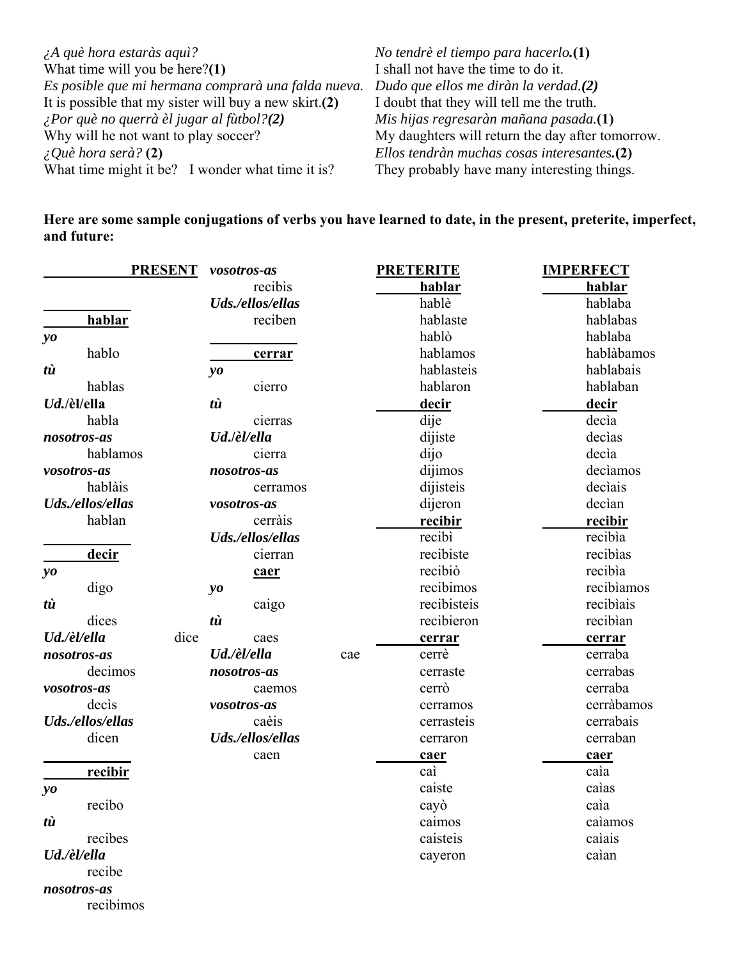| $\lambda A$ què hora estaràs aquì?                     | No tendrè el tiempo para hacerlo.(1)             |
|--------------------------------------------------------|--------------------------------------------------|
| What time will you be here? $(1)$                      | I shall not have the time to do it.              |
| Es posible que mi hermana comprarà una falda nueva.    | Dudo que ellos me diràn la verdad.(2)            |
| It is possible that my sister will buy a new skirt.(2) | I doubt that they will tell me the truth.        |
| $\lambda$ Por què no querrà èl jugar al fùtbol?(2)     | Mis hijas regresaràn mañana pasada.(1)           |
| Why will he not want to play soccer?                   | My daughters will return the day after tomorrow. |
| $\angle Q$ uè hora serà? (2)                           | Ellos tendràn muchas cosas interesantes.(2)      |
| What time might it be? I wonder what time it is?       | They probably have many interesting things.      |

**Here are some sample conjugations of verbs you have learned to date, in the present, preterite, imperfect, and future:**

|                        | <b>PRESENT</b>      | vosotros-as      | <b>PRETERITE</b> | <b>IMPERFECT</b> |
|------------------------|---------------------|------------------|------------------|------------------|
|                        |                     | recibis          | hablar           | hablar           |
|                        |                     | Uds./ellos/ellas | hablè            | hablaba          |
|                        | hablar              | reciben          | hablaste         | hablabas         |
| $y_{0}$                |                     |                  | hablò            | hablaba          |
|                        | hablo               | cerrar           | hablamos         | hablàbamos       |
| tù                     |                     | yo               | hablasteis       | hablabais        |
|                        | hablas              | cierro           | hablaron         | hablaban         |
|                        | Ud./èl/ella         | tù               | decir            | <u>decir</u>     |
|                        | habla               | cierras          | dije             | decìa            |
|                        | nosotros-as         | Ud./èl/ella      | dijiste          | decias           |
|                        | hablamos            | cierra           | dijo             | decìa            |
|                        | vosotros-as         | nosotros-as      | dijimos          | declamos         |
|                        | hablàis             | cerramos         | dijisteis        | declais          |
|                        | Uds./ellos/ellas    | vosotros-as      | dijeron          | decìan           |
|                        | hablan              | cerràis          | recibir          | recibir          |
|                        |                     | Uds./ellos/ellas | recibì           | recibìa          |
|                        | decir               | cierran          | recibiste        | recibias         |
| yo                     |                     | caer             | recibiò          | recibia          |
|                        | digo                | yo               | recibimos        | recibiamos       |
| tù                     |                     | caigo            | recibisteis      | recibiais        |
|                        | dices               | tù               | recibieron       | recibian         |
|                        | dice<br>Ud./èl/ella | caes             | cerrar           | cerrar           |
|                        | nosotros-as         | Ud./èl/ella      | cerrè<br>cae     | cerraba          |
|                        | decimos             | nosotros-as      | cerraste         | cerrabas         |
|                        | vosotros-as         | caemos           | cerrò            | cerraba          |
|                        | decis               | vosotros-as      | cerramos         | cerràbamos       |
|                        | Uds./ellos/ellas    | caèis            | cerrasteis       | cerrabais        |
|                        | dicen               | Uds./ellos/ellas | cerraron         | cerraban         |
|                        |                     | caen             | caer             | caer             |
|                        | recibir             |                  | caì              | caìa             |
| $\mathbf{v}\mathbf{o}$ |                     |                  | caiste           | caìas            |
|                        | recibo              |                  | cayò             | caia             |
| tù                     |                     |                  | caimos           | calamos          |
|                        | recibes             |                  | caisteis         | caìais           |
|                        | Ud./èl/ella         |                  | cayeron          | caìan            |
|                        | recibe              |                  |                  |                  |
|                        | nosotros-as         |                  |                  |                  |

recibimos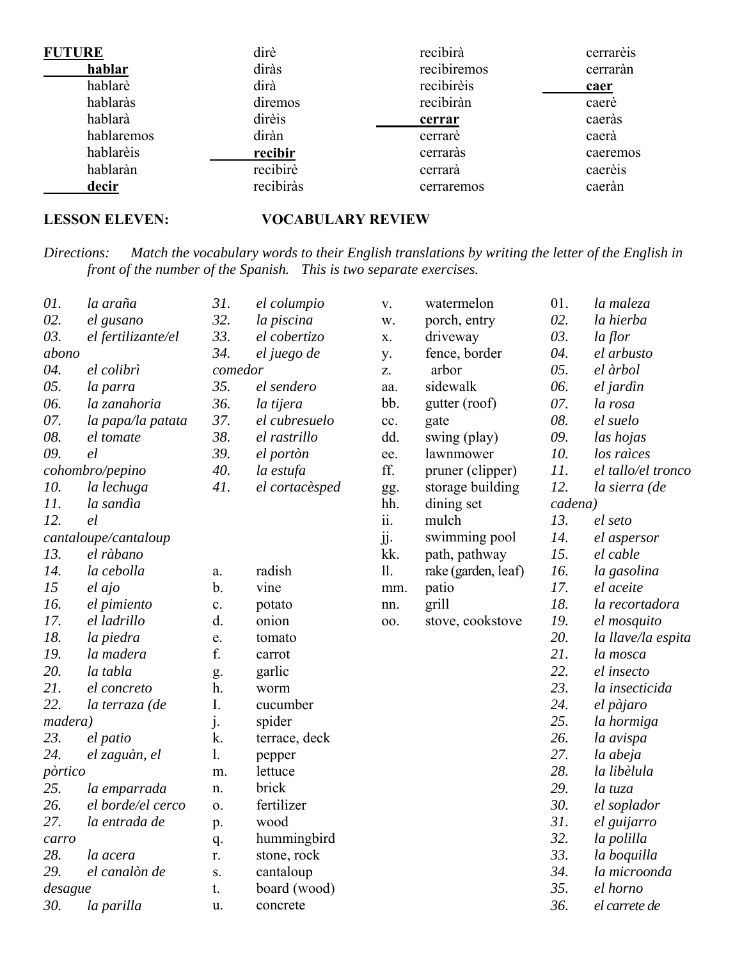| <b>FUTURE</b> | dirè      | recibirà    | cerrarèis |
|---------------|-----------|-------------|-----------|
| hablar        | diràs     | recibiremos | cerraràn  |
| hablarè       | dirà      | recibirèis  | caer      |
| hablaràs      | diremos   | recibiràn   | caerè     |
| hablarà       | dirèis    | cerrar      | caeràs    |
| hablaremos    | diràn     | cerrare     | caerà     |
| hablarèis     | recibir   | cerraràs    | caeremos  |
| hablaràn      | recibirè  | cerrarà     | caerèis   |
| decir         | recibiràs | cerraremos  | caeràn    |

### **LESSON ELEVEN: VOCABULARY REVIEW**

*Directions: Match the vocabulary words to their English translations by writing the letter of the English in front of the number of the Spanish. This is two separate exercises.*

| 01.     | la araña             | 31.     | el columpio    | V.                     | watermelon          | 01.     | la maleza          |
|---------|----------------------|---------|----------------|------------------------|---------------------|---------|--------------------|
| 02.     | el gusano            | 32.     | la piscina     | w.                     | porch, entry        | 02.     | la hierba          |
| 03.     | el fertilizante/el   | 33.     | el cobertizo   | X.                     | driveway            | 03.     | la flor            |
| abono   |                      | 34.     | el juego de    | y.                     | fence, border       | 04.     | el arbusto         |
| 04.     | el colibrì           | comedor |                | Z.                     | arbor               | 05.     | el àrbol           |
| 05.     | la parra             | 35.     | el sendero     | aa.                    | sidewalk            | 06.     | el jardìn          |
| 06.     | la zanahoria         | 36.     | la tijera      | bb.                    | gutter (roof)       | 07.     | la rosa            |
| 07.     | la papa/la patata    | 37.     | el cubresuelo  | cc.                    | gate                | 08.     | el suelo           |
| 08.     | el tomate            | 38.     | el rastrillo   | dd.                    | swing (play)        | 09.     | las hojas          |
| 09.     | el                   | 39.     | el portòn      | ee.                    | lawnmower           | 10.     | los raìces         |
|         | cohombro/pepino      | 40.     | la estufa      | ff.                    | pruner (clipper)    | 11.     | el tallo/el tronco |
| 10.     | la lechuga           | 41.     | el cortacèsped | gg.                    | storage building    | 12.     | la sierra (de      |
| 11.     | la sandìa            |         |                | hh.                    | dining set          | cadena) |                    |
| 12.     | el                   |         |                | $\dddot{\mathbf{i}}$ . | mulch               | 13.     | el seto            |
|         | cantaloupe/cantaloup |         |                | jj.                    | swimming pool       | 14.     | el aspersor        |
| 13.     | el ràbano            |         |                | kk.                    | path, pathway       | 15.     | el cable           |
| 14.     | la cebolla           | a.      | radish         | 11.                    | rake (garden, leaf) | 16.     | la gasolina        |
| 15      | el ajo               | $b$ .   | vine           | mm.                    | patio               | 17.     | el aceite          |
| 16.     | el pimiento          | c.      | potato         | nn.                    | grill               | 18.     | la recortadora     |
| 17.     | el ladrillo          | d.      | onion          | 00.                    | stove, cookstove    | 19.     | el mosquito        |
| 18.     | la piedra            | e.      | tomato         |                        |                     | 20.     | la llave/la espita |
| 19.     | la madera            | f.      | carrot         |                        |                     | 21.     | la mosca           |
| 20.     | la tabla             | g.      | garlic         |                        |                     | 22.     | el insecto         |
| 21.     | el concreto          | h.      | worm           |                        |                     | 23.     | la insecticida     |
| 22.     | la terraza (de       | I.      | cucumber       |                        |                     | 24.     | el pàjaro          |
| madera) |                      | j.      | spider         |                        |                     | 25.     | la hormiga         |
| 23.     | el patio             | k.      | terrace, deck  |                        |                     | 26.     | la avispa          |
| 24.     | el zaguàn, el        | 1.      | pepper         |                        |                     | 27.     | la abeja           |
| pòrtico |                      | m.      | lettuce        |                        |                     | 28.     | la libèlula        |
| 25.     | la emparrada         | n.      | brick          |                        |                     | 29.     | la tuza            |
| 26.     | el borde/el cerco    | 0.      | fertilizer     |                        |                     | 30.     | el soplador        |
| 27.     | la entrada de        | p.      | wood           |                        |                     | 31.     | el guijarro        |
| carro   |                      | q.      | hummingbird    |                        |                     | 32.     | la polilla         |
| 28.     | la acera             | r.      | stone, rock    |                        |                     | 33.     | la boquilla        |
| 29.     | el canalòn de        | S.      | cantaloup      |                        |                     | 34.     | la microonda       |
| desague |                      | t.      | board (wood)   |                        |                     | 35.     | el horno           |
| 30.     | la parilla           | u.      | concrete       |                        |                     | 36.     | el carrete de      |
|         |                      |         |                |                        |                     |         |                    |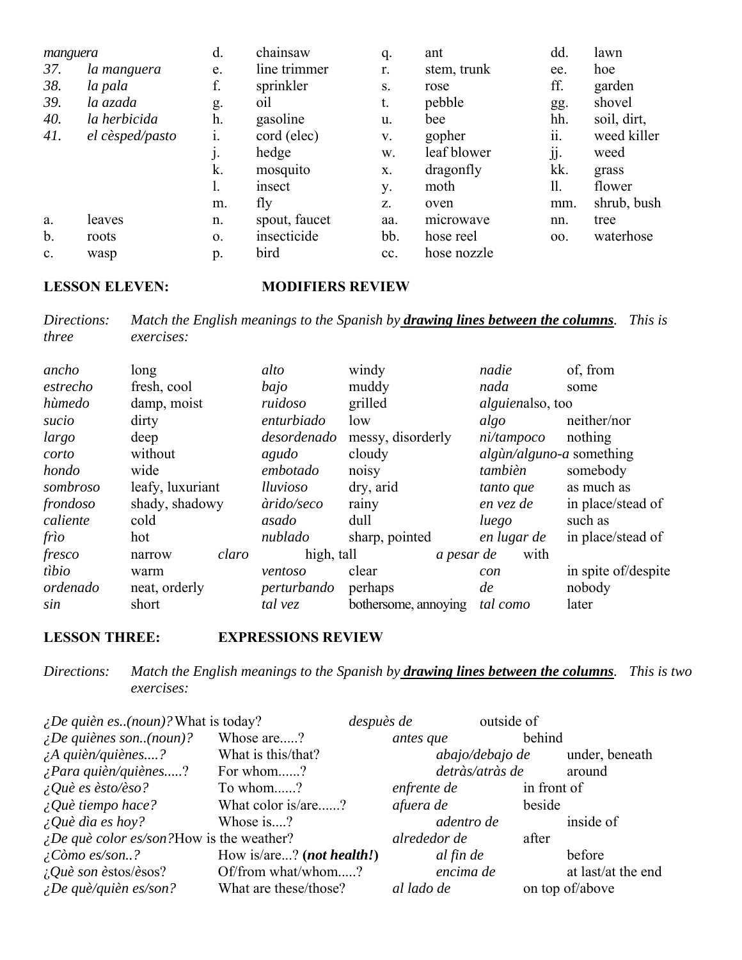| manguera      |                 | d. | chainsaw      | q.          | ant         | dd. | lawn        |
|---------------|-----------------|----|---------------|-------------|-------------|-----|-------------|
| 37.           | la manguera     | e. | line trimmer  | r.          | stem, trunk | ee. | hoe         |
| 38.           | la pala         | f. | sprinkler     | S.          | rose        | ff. | garden      |
| 39.           | la azada        | g. | 01l           | t.          | pebble      | gg. | shovel      |
| 40.           | la herbicida    | h. | gasoline      | u.          | bee         | hh. | soil, dirt, |
| 41.           | el cèsped/pasto | 1. | cord (elec)   | V.          | gopher      | ii. | weed killer |
|               |                 | j. | hedge         | w.          | leaf blower | jj. | weed        |
|               |                 | k. | mosquito      | X.          | dragonfly   | kk. | grass       |
|               |                 | ı. | insect        | у.          | moth        | 11. | flower      |
|               |                 | m. | fly           | $Z_{\star}$ | oven        | mm. | shrub, bush |
| a.            | leaves          | n. | spout, faucet | aa.         | microwave   | nn. | tree        |
| $\mathbf b$ . | roots           | 0. | insecticide   | bb.         | hose reel   | 00. | waterhose   |
| c.            | wasp            | p. | bird          | cc.         | hose nozzle |     |             |

### **LESSON ELEVEN: MODIFIERS REVIEW**

*Directions: Match the English meanings to the Spanish by drawing lines between the columns. This is three exercises:*

| ancho    | long             | alto        | windy                | nadie                              | of, from            |
|----------|------------------|-------------|----------------------|------------------------------------|---------------------|
| estrecho | fresh, cool      | bajo        | muddy                | nada                               | some                |
| hùmedo   | damp, moist      | ruidoso     | grilled              | <i>alguienalso, too</i>            |                     |
| sucio    | dirty            | enturbiado  | low                  | algo                               | neither/nor         |
| largo    | deep             | desordenado | messy, disorderly    | ni/tampoco                         | nothing             |
| corto    | without          | agudo       | cloudy               | $alg\`{u}n/alg\`{u}no-a$ something |                     |
| hondo    | wide             | embotado    | noisy                | tambièn                            | somebody            |
| sombroso | leafy, luxuriant | lluvioso    | dry, arid            | tanto que                          | as much as          |
| frondoso | shady, shadowy   | àrido/seco  | rainy                | en vez de                          | in place/stead of   |
| caliente | cold             | asado       | dull                 | luego                              | such as             |
| frìo     | hot              | nublado     | sharp, pointed       | en lugar de                        | in place/stead of   |
| fresco   | claro<br>narrow  | high, tall  | a pesar de           | with                               |                     |
| tibio    | warm             | ventoso     | clear                | con                                | in spite of/despite |
| ordenado | neat, orderly    | perturbando | perhaps              | de                                 | nobody              |
| sin      | short            | tal vez     | bothersome, annoying | tal como                           | later               |

### **LESSON THREE: EXPRESSIONS REVIEW**

*Directions: Match the English meanings to the Spanish by drawing lines between the columns. This is two exercises:*

| <i>¿De quièn es(noun)?</i> What is today?                |                           | despuès de   | outside of      |                    |
|----------------------------------------------------------|---------------------------|--------------|-----------------|--------------------|
| $\angle$ <i>De quiènes son(noun)?</i>                    | Whose are?                | antes que    | behind          |                    |
| $\lambda$ quièn/quiènes?                                 | What is this/that?        |              | abajo/debajo de | under, beneath     |
| $\lambda$ Para quièn/quiènes?                            | For whom?                 |              | detràs/atràs de | around             |
| $\angle Q$ uè es èsto/èso?                               | To whom?                  | enfrente de  | in front of     |                    |
| $\angle Q$ uè tiempo hace?                               | What color is/are?        | afuera de    | beside          |                    |
| $\angle Q$ uè dìa es hoy?                                | Whose is?                 | adentro de   |                 | inside of          |
| $\angle$ <i>De què color es/son?</i> How is the weather? |                           | alrededor de | after           |                    |
| $\angle$ <i>Còmo es/son?</i>                             | How is/are? (not health!) | al fin de    |                 | before             |
| <i>i</i> . <i>Què son èstos/èsos?</i>                    | Of/from what/whom?        | encima de    |                 | at last/at the end |
| $\angle$ <i>De què/quièn es/son?</i>                     | What are these/those?     | al lado de   |                 | on top of/above    |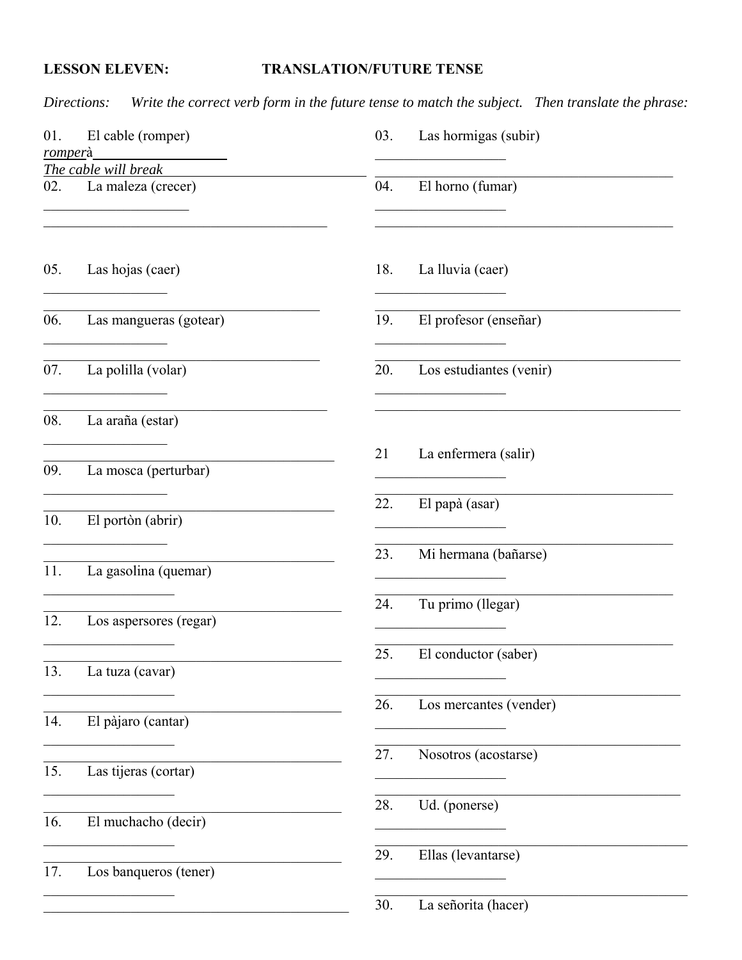## **LESSON ELEVEN:**

## **TRANSLATION/FUTURE TENSE**

Write the correct verb form in the future tense to match the subject. Then translate the phrase: Directions:

| 01.     | El cable (romper)                                                                                                                          | 03. | Las hormigas (subir)              |
|---------|--------------------------------------------------------------------------------------------------------------------------------------------|-----|-----------------------------------|
| romperà |                                                                                                                                            |     | the control of the control of the |
|         | The cable will break                                                                                                                       |     |                                   |
| 02.     | La maleza (crecer)<br><u> 1990 - Johann John Harry Harry Harry Harry Harry Harry Harry Harry Harry Harry Harry Harry Harry Harry Harry</u> | 04. | El horno (fumar)                  |
| 05.     | Las hojas (caer)                                                                                                                           | 18. | La lluvia (caer)                  |
| 06.     | Las mangueras (gotear)                                                                                                                     | 19. | El profesor (enseñar)             |
| 07.     | La polilla (volar)                                                                                                                         | 20. | Los estudiantes (venir)           |
| 08.     | La araña (estar)                                                                                                                           |     |                                   |
| 09.     | La mosca (perturbar)                                                                                                                       | 21  | La enfermera (salir)              |
| 10.     | El portòn (abrir)                                                                                                                          | 22. | El papà (asar)                    |
| 11.     | La gasolina (quemar)                                                                                                                       | 23. | Mi hermana (bañarse)              |
| 12.     | Los aspersores (regar)                                                                                                                     | 24. | Tu primo (llegar)                 |
| 13.     | La tuza (cavar)                                                                                                                            | 25. | El conductor (saber)              |
| 14.     | El pàjaro (cantar)                                                                                                                         | 26. | Los mercantes (vender)            |
| 15.     | and the control of the control of<br>Las tijeras (cortar)                                                                                  | 27. | Nosotros (acostarse)              |
| 16.     | El muchacho (decir)                                                                                                                        | 28. | Ud. (ponerse)                     |
| 17.     | Los banqueros (tener)                                                                                                                      | 29. | Ellas (levantarse)                |
|         |                                                                                                                                            | 30. | La señorita (hacer)               |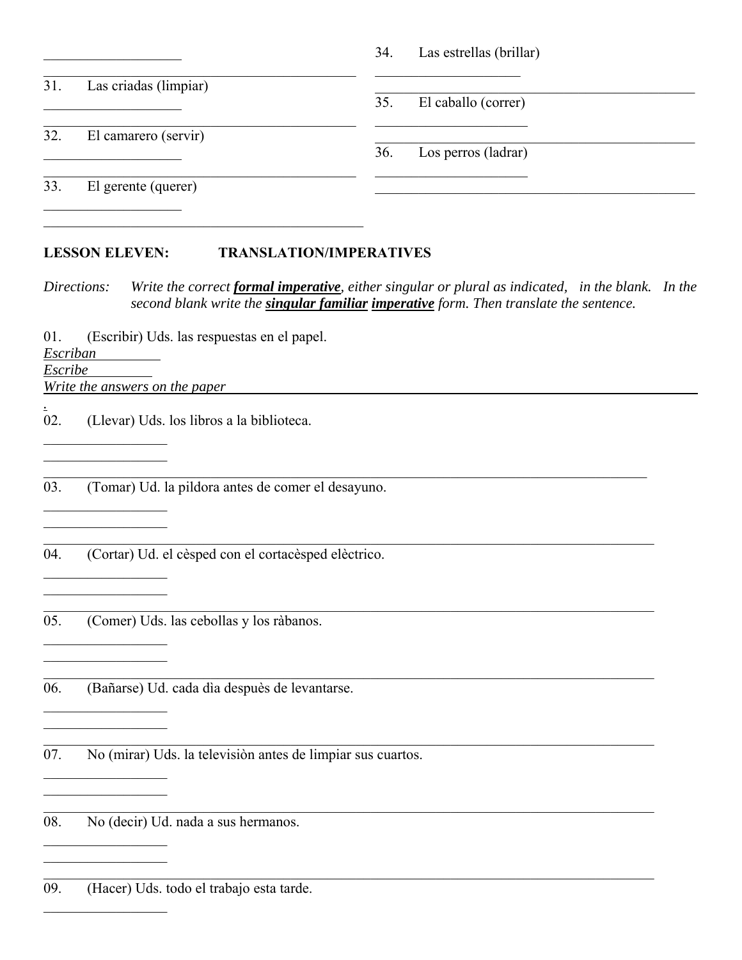|     |                       | 34.<br>Las estrellas (brillar) |
|-----|-----------------------|--------------------------------|
| 31. | Las criadas (limpiar) |                                |
|     |                       | 35.<br>El caballo (correr)     |
| 32. | El camarero (servir)  |                                |
|     |                       | 36.<br>Los perros (ladrar)     |
| 33. | El gerente (querer)   |                                |
|     |                       |                                |

### **LESSON ELEVEN: TRANSLATION/IMPERATIVES**

*Directions: Write the correct formal imperative, either singular or plural as indicated, in the blank. In the second blank write the singular familiar imperative form. Then translate the sentence.*

 $\mathcal{L}_\mathcal{L} = \mathcal{L}_\mathcal{L} = \mathcal{L}_\mathcal{L} = \mathcal{L}_\mathcal{L} = \mathcal{L}_\mathcal{L} = \mathcal{L}_\mathcal{L} = \mathcal{L}_\mathcal{L} = \mathcal{L}_\mathcal{L} = \mathcal{L}_\mathcal{L} = \mathcal{L}_\mathcal{L} = \mathcal{L}_\mathcal{L} = \mathcal{L}_\mathcal{L} = \mathcal{L}_\mathcal{L} = \mathcal{L}_\mathcal{L} = \mathcal{L}_\mathcal{L} = \mathcal{L}_\mathcal{L} = \mathcal{L}_\mathcal{L}$ 

01. (Escribir) Uds. las respuestas en el papel.

*Escriban* 

*Escribe* 

*.*

*Write the answers on the paper* 

 $\mathcal{L}=\mathcal{L}^{\text{max}}$ 

 $\mathcal{L}=\mathcal{L}^{\text{max}}$ 

 $\mathcal{L}=\mathcal{L}^{\text{max}}$ 

02. (Llevar) Uds. los libros a la biblioteca.

03. (Tomar) Ud. la pildora antes de comer el desayuno.

04. (Cortar) Ud. el cèsped con el cortacèsped elèctrico.

05. (Comer) Uds. las cebollas y los ràbanos.

06. (Bañarse) Ud. cada dìa despuès de levantarse.

07. No (mirar) Uds. la televisiòn antes de limpiar sus cuartos.

08. No (decir) Ud. nada a sus hermanos.

09. (Hacer) Uds. todo el trabajo esta tarde.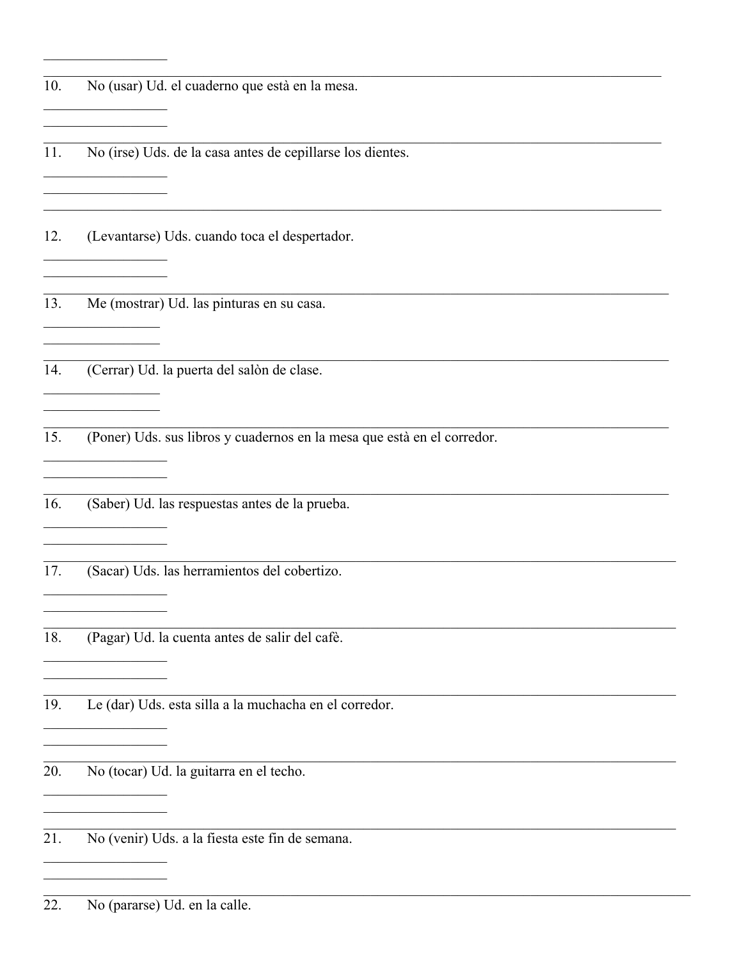| 10. | No (usar) Ud. el cuaderno que està en la mesa.                          |
|-----|-------------------------------------------------------------------------|
| 11. | No (irse) Uds. de la casa antes de cepillarse los dientes.              |
| 12. | (Levantarse) Uds. cuando toca el despertador.                           |
| 13. | Me (mostrar) Ud. las pinturas en su casa.                               |
| 14. | (Cerrar) Ud. la puerta del salòn de clase.                              |
| 15. | (Poner) Uds. sus libros y cuadernos en la mesa que està en el corredor. |
| 16. | (Saber) Ud. las respuestas antes de la prueba.                          |
| 17. | (Sacar) Uds. las herramientos del cobertizo.                            |
| 18. | (Pagar) Ud. la cuenta antes de salir del cafè.                          |
| 19. | Le (dar) Uds. esta silla a la muchacha en el corredor.                  |
| 20. | No (tocar) Ud. la guitarra en el techo.                                 |
| 21. | No (venir) Uds. a la fiesta este fin de semana.                         |
| 22. | No (pararse) Ud. en la calle.                                           |

 $\overline{\phantom{0}}$ 

 $\sim$  100  $\mu$  m  $^{-1}$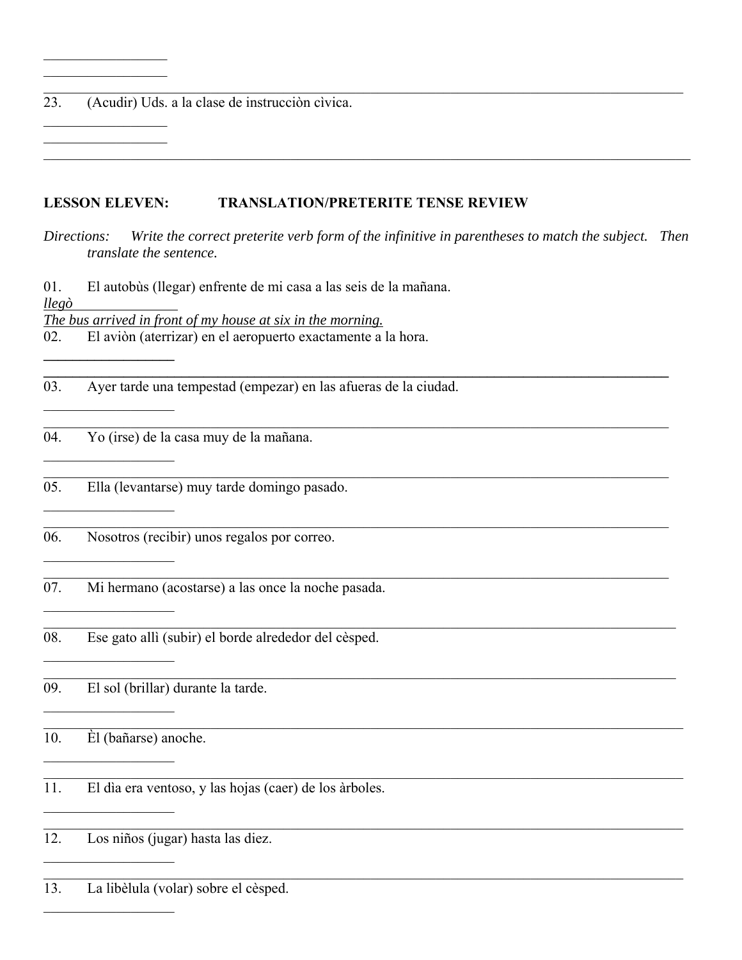23. (Acudir) Uds. a la clase de instrucción civica.

### **LESSON ELEVEN: TRANSLATION/PRETERITE TENSE REVIEW**

Directions: Write the correct preterite verb form of the infinitive in parentheses to match the subject. Then translate the sentence.

El autobùs (llegar) enfrente de mi casa a las seis de la mañana. 01.  $llep\grave{o}$ The bus arrived in front of my house at six in the morning.

02. El aviòn (aterrizar) en el aeropuerto exactamente a la hora.

03. Ayer tarde una tempestad (empezar) en las afueras de la ciudad.

Yo (irse) de la casa muy de la mañana. 04.

Ella (levantarse) muy tarde domingo pasado. 05.

- Nosotros (recibir) unos regalos por correo. 06.
- 07. Mi hermano (acostarse) a las once la noche pasada.
- Ese gato allì (subir) el borde alrededor del cèsped. 08.

09. El sol (brillar) durante la tarde.

10. Èl (bañarse) anoche.

11. El dia era ventoso, y las hojas (caer) de los àrboles.

Los niños (jugar) hasta las diez.  $12.$ 

13. La libèlula (volar) sobre el cèsped.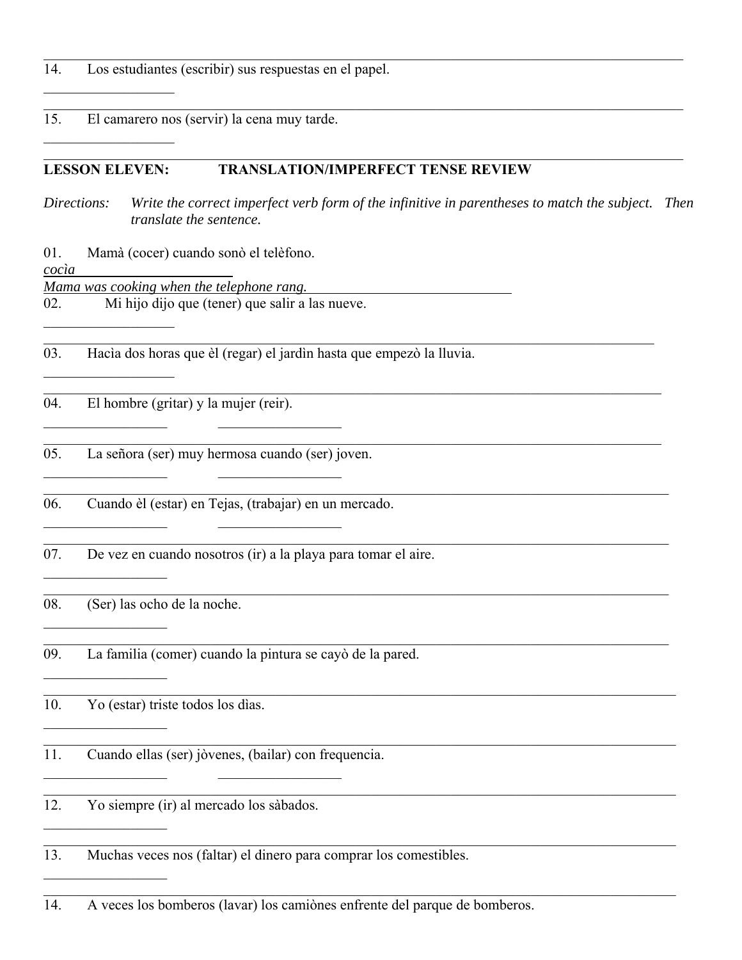- 14. Los estudiantes (escribir) sus respuestas en el papel.
- 15. El camarero nos (servir) la cena muy tarde.

### **LESSON ELEVEN: TRANSLATION/IMPERFECT TENSE REVIEW**

*Directions: Write the correct imperfect verb form of the infinitive in parentheses to match the subject. Then translate the sentence.*

 $\mathcal{L}_\mathcal{L} = \mathcal{L}_\mathcal{L} = \mathcal{L}_\mathcal{L} = \mathcal{L}_\mathcal{L} = \mathcal{L}_\mathcal{L} = \mathcal{L}_\mathcal{L} = \mathcal{L}_\mathcal{L} = \mathcal{L}_\mathcal{L} = \mathcal{L}_\mathcal{L} = \mathcal{L}_\mathcal{L} = \mathcal{L}_\mathcal{L} = \mathcal{L}_\mathcal{L} = \mathcal{L}_\mathcal{L} = \mathcal{L}_\mathcal{L} = \mathcal{L}_\mathcal{L} = \mathcal{L}_\mathcal{L} = \mathcal{L}_\mathcal{L}$ 

 $\_$  , and the set of the set of the set of the set of the set of the set of the set of the set of the set of the set of the set of the set of the set of the set of the set of the set of the set of the set of the set of th

01. Mamà (cocer) cuando sonò el telèfono.

*cocìa* 

*Mama was cooking when the telephone rang.* 

02. Mi hijo dijo que (tener) que salir a las nueve.

03. Hacìa dos horas que èl (regar) el jardìn hasta que empezò la lluvia.

- 04. El hombre (gritar) y la mujer (reir).
- 05. La señora (ser) muy hermosa cuando (ser) joven.

06. Cuando èl (estar) en Tejas, (trabajar) en un mercado.

- 07. De vez en cuando nosotros (ir) a la playa para tomar el aire.
- 08. (Ser) las ocho de la noche.

 $\mathcal{L}=\mathcal{L}^{\text{max}}$ 

09. La familia (comer) cuando la pintura se cayò de la pared.

10. Yo (estar) triste todos los dìas.

11. Cuando ellas (ser) jòvenes, (bailar) con frequencia.

12. Yo siempre (ir) al mercado los sàbados.

13. Muchas veces nos (faltar) el dinero para comprar los comestibles.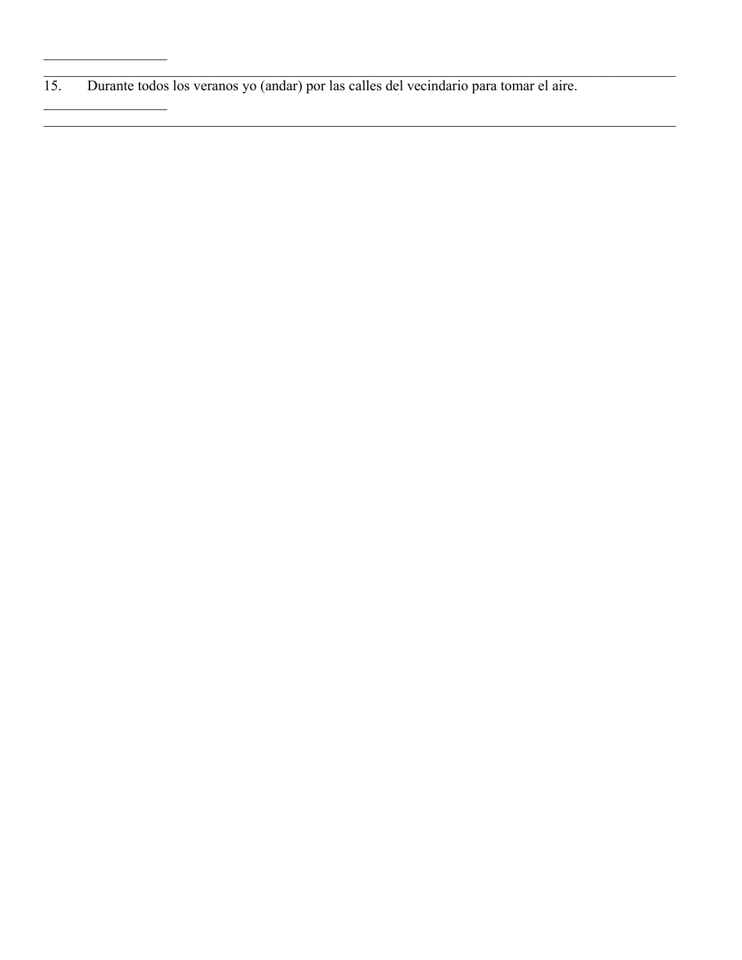Durante todos los veranos yo (andar) por las calles del vecindario para tomar el aire.  $\overline{15}$ .

 $\overline{\phantom{a}}$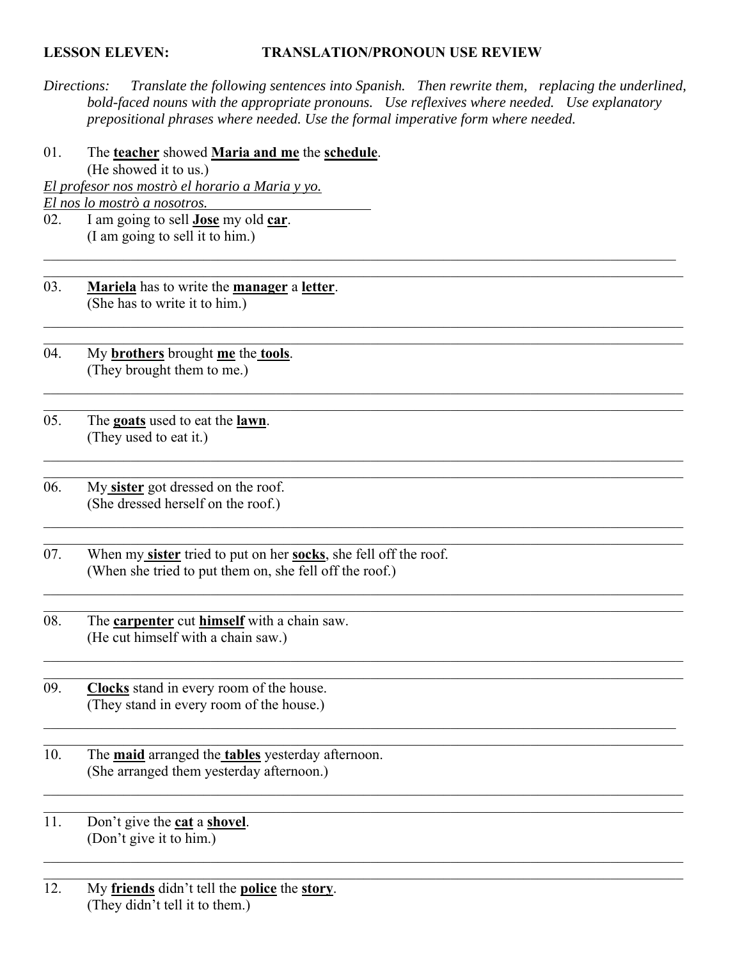### **LESSON ELEVEN: TRANSLATION/PRONOUN USE REVIEW**

*Directions: Translate the following sentences into Spanish. Then rewrite them, replacing the underlined, bold-faced nouns with the appropriate pronouns. Use reflexives where needed. Use explanatory prepositional phrases where needed. Use the formal imperative form where needed.* 

 $\_$  , and the set of the set of the set of the set of the set of the set of the set of the set of the set of the set of the set of the set of the set of the set of the set of the set of the set of the set of the set of th

 $\_$  , and the set of the set of the set of the set of the set of the set of the set of the set of the set of the set of the set of the set of the set of the set of the set of the set of the set of the set of the set of th

01. The **teacher** showed **Maria and me** the **schedule**. (He showed it to us.)

*El profesor nos mostrò el horario a Maria y yo.* 

*El nos lo mostrò a nosotros.* 

- 02. I am going to sell **Jose** my old **car**. (I am going to sell it to him.)
- 03. **Mariela** has to write the **manager** a **letter**. (She has to write it to him.)
- 04. My **brothers** brought **me** the **tools**. (They brought them to me.)
- 05. The **goats** used to eat the **lawn**. (They used to eat it.)
- 06. My **sister** got dressed on the roof. (She dressed herself on the roof.)
- 07. When my **sister** tried to put on her **socks**, she fell off the roof. (When she tried to put them on, she fell off the roof.)
- 08. The **carpenter** cut **himself** with a chain saw. (He cut himself with a chain saw.)
- 09. **Clocks** stand in every room of the house. (They stand in every room of the house.)
- 10. The **maid** arranged the **tables** yesterday afternoon. (She arranged them yesterday afternoon.)
- 11. Don't give the **cat** a **shovel**. (Don't give it to him.)
- 12. My **friends** didn't tell the **police** the **story**. (They didn't tell it to them.)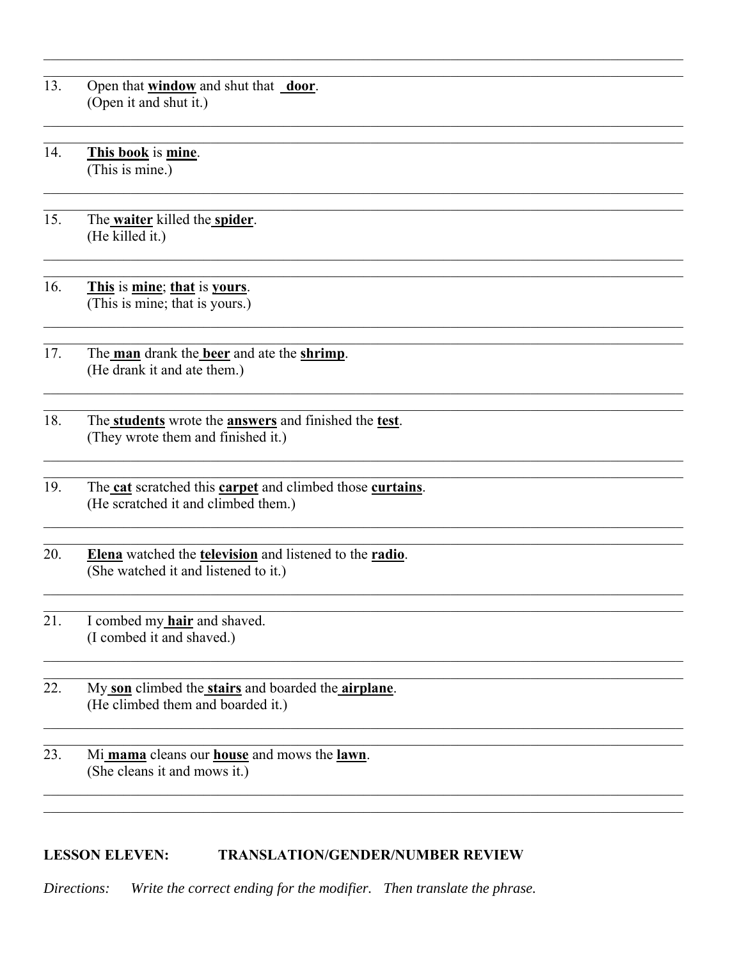13. Open that **window** and shut that **door**. (Open it and shut it.)

14. This book is mine. (This is mine.)

15. The waiter killed the spider. (He killed it.)

16. This is mine; that is yours. (This is mine; that is yours.)

- 17. The man drank the beer and ate the shrimp. (He drank it and ate them.)
- 18. The students wrote the answers and finished the test. (They wrote them and finished it.)
- The cat scratched this carpet and climbed those curtains. 19. (He scratched it and climbed them.)
- 20. Elena watched the television and listened to the radio. (She watched it and listened to it.)
- $\overline{21}$ . I combed my hair and shaved. (I combed it and shaved.)
- 22. My son climbed the stairs and boarded the airplane. (He climbed them and boarded it.)
- $\overline{23}$ . Mi mama cleans our house and mows the lawn. (She cleans it and mows it.)

### **LESSON ELEVEN: TRANSLATION/GENDER/NUMBER REVIEW**

Write the correct ending for the modifier. Then translate the phrase. Directions: